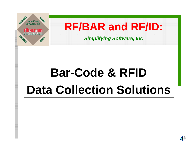

**RF/BAR and RF/ID:**

*Simplifying Software, Inc*

# **Bar-Code & RFID Data Collection Solutions**

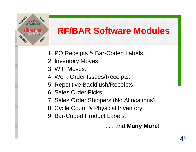

### **RF/BAR Software Modules**

- 1. PO Receipts & Bar-Coded Labels.
- 2. Inventory Moves.
- 3. WIP Moves.
- 4. Work Order Issues/Receipts.
- 5. Repetitive Backflush/Receipts.
- 6. Sales Order Picks.
- 7. Sales Order Shippers (No Allocations).
- 8. Cycle Count & Physical Inventory.
- 9. Bar-Coded Product Labels.

. . . and **Many More!**

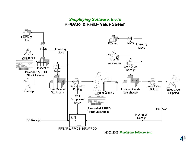#### **Simplifying Software, Inc.'s RF/BAR<sup>™</sup> & RF/ID<sup>™</sup> Value Stream**



©2003-2007 Simplifying Software, Inc.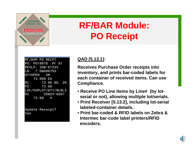

### **RF/BAR Module: PO Receipt**

| RF/BAR PO RECPT        |
|------------------------|
| lPO: P010076 Pr 01     |
| PKSLP: SDW-01234       |
| <b>LN: 7 DWG00752</b>  |
| <b>IQTYOPEN UM</b>     |
| 73.000 EA              |
| IRC :<br>73.00 BG 20   |
| PS: 73.00              |
| LOC/SUPLOT/QTY/#LBLS   |
| RI<br>SDW24-0207       |
| 73.00 4                |
|                        |
|                        |
| <b>Update Receipt?</b> |
|                        |

#### **QAD [5.13.1]:**

**Receives Purchase Order receipts into inventory, and prints bar-coded labels for each container of received items. Can use Compliance.**

- **Receive PO Line Items by Line# (by lotserial or not), allowing multiple lot/serials.**
- **Print Receiver [5.13.2], including lot-serial labeled-container details.**
- **Print bar-coded & RFID labels on Zebra & Intermec bar-code label printers/RFID encoders.**

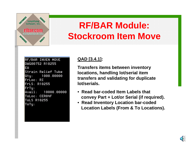

#### **RF/BAR Module: Stockroom Item Move**

```
RF/BAR INVEN MOVE
DWG00752 R10255
EA
Strain Relief Tube
Qtu:
       1000.00000
FrLoc: RI
FrLS: R10255
FrTu:
Avail: 10000.00000
ToLoc: CER04F
ToLS R10255
|ToTu:
```
#### **QAD [3.4.1]:**

**Transfers items between inventory locations, handling lot/serial item transfers and validating for duplicate lot/serials.**

- **Read bar-coded Item Labels that convey Part + Lot/or Serial (if required).**
- **Read Inventory Location bar-coded Location Labels (From & To Locations).**

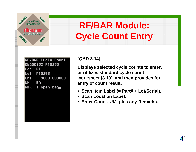

### **RF/BAR Module: Cycle Count Entry**

|                 | RF/BAR Cycle Count           |  |  |  |
|-----------------|------------------------------|--|--|--|
| DWG00752 R10255 |                              |  |  |  |
| Loc: RI         |                              |  |  |  |
|                 | Lot: R10255                  |  |  |  |
|                 | Cnt: 9000.000000             |  |  |  |
| UM : EA         |                              |  |  |  |
|                 | Rmk: 1 open bag <sub>m</sub> |  |  |  |
|                 |                              |  |  |  |
|                 |                              |  |  |  |

#### **[QAD 3.14]:**

**Displays selected cycle counts to enter, or utilizes standard cycle count worksheet [3.13], and then provides for entry of count result.**

- **Scan Item Label (= Part# + Lot/Serial).**
- **Scan Location Label.**
- $\bullet$ **Enter Count, UM, plus any Remarks.**

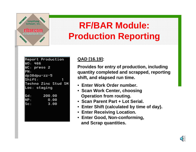

### **RF/BAR Module: Production Reporting**

```
Report Production
WO: 466
WC: press 2
PN:
dp38dpu-zz-5
Shift .
Techno Zinc Stud SM
Loc: staging
Gd :
        200.00
NP :
          0.00Sc:3.00
```
#### **QAD [16.19]:**

**Provides for entry of production, including quantity completed and scrapped, reporting shift, and elapsed run time.**

- **Enter Work Order number.**
- **Scan Work Center, choosing Operation from routing.**
- **Scan Parent Part + Lot Serial.**
- $\bullet$ **Enter Shift (calculated by time of day).**
- **Enter Receiving Location.**
- **Enter Good, Non-conforming, and Scrap quantities.**

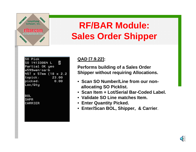

### **RF/BAR Module: Sales Order Shipper**

| SO Pick                         |
|---------------------------------|
| $\overline{2}$<br>SO 14133064 L |
| Partial OK yes                  |
| w599wen-sa-b                    |
| 457 x 57mm (18 x 2.2            |
| topick:<br>23.00                |
| 0.00<br>picked:                 |
| Loc/Qty                         |
| BOL<br>SHPR<br>CARRIER          |

#### **QAD [7.9.22]:**

**Performs building of a Sales Order Shipper without requiring Allocations.**

- **Scan SO Number/Line from our nonallocating SO Picklist.**
- **Scan Item + Lot/Serial Bar-Coded Label.**
- **Validate SO Line matches Item.**
- **Enter Quantity Picked.**
- **Enter/Scan BOL, Shipper, & Carrier**.

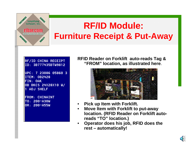

### **RF/ID Module: Furniture Receipt & Put-Away**

#### RF/ID CHINA RECEIPT ID: 3B777435BTW9812

UPC: 7 23086 05860 3 **ITEM: 0B2428** FIN: OAK OB BKCS 24X28X10 W/ 1 ADJ SHELF

**FROM: CHINAINT** TO: 200-A30W OR: 200-A55W

**RFID Reader on Forklift auto-reads Tag & "FROM" location, as illustrated here**.



- •**Pick up Item with Forklift.**
- • **Move Item with Forklift to put-away location. (RFID Reader on Forklift autoreads "TO" location.)**
- • **Operator does his job, RFID does the rest – automatically!**

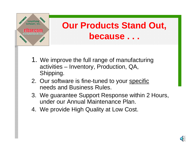

### **Our Products Stand Out, because . . .**

- 1. We improve the full range of manufacturing activities – Inventory, Production, QA, Shipping.
- 2. Our software is fine-tuned to your specific needs and Business Rules.
- 3. We guarantee Support Response within 2 Hours, under our Annual Maintenance Plan.
- 4. We provide High Quality at Low Cost.

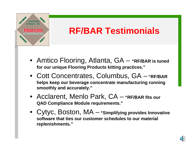

### **RF/BAR Testimonials**

- Amtico Flooring, Atlanta, GA **"RF/BAR is tuned for our unique Flooring Products kitting practices."**
- Cott Concentrates, Columbus, GA **"RF/BAR helps keep our beverage concentrate manufacturing running smoothly and accurately."**
- Acclarent, Menlo Park, CA **"RF/BAR fits our QAD Compliance Module requirements."**
- Cytyc, Boston, MA **"Simplifying provides Innovative software that ties our customer schedules to our material replenishments."**

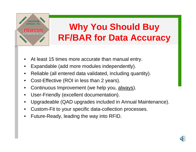

## **Why You Should Buy RF/BAR for Data Accuracy**

- •At least 15 times more accurate than manual entry.
- •Expandable (add more modules independently).
- •Reliable (all entered data validated, including quantity).
- •Cost-Effective (ROI in less than 2 years).
- •Continuous Improvement (we help you, always).
- •User-Friendly (excellent documentation).
- •Upgradeable (QAD upgrades included in Annual Maintenance).
- •Custom-Fit to your specific data-collection processes.
- •Future-Ready, leading the way into RFID.

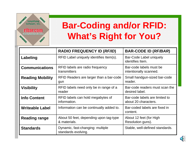

### **Bar-Coding and/or RFID: What's Right for You?**

|                         | <b>RADIO FREQUENCY ID (RF/ID)</b>                       | <b>BAR-CODE ID (RF/BAR)</b>                            |
|-------------------------|---------------------------------------------------------|--------------------------------------------------------|
| Labeling                | RFID Label uniquely identifies Item(s).                 | Bar-Code Label uniquely<br>identifies Item.            |
| <b>Communications</b>   | RFID labels are radio frequency<br>transmitters         | Bar-code labels must be<br>intentionally scanned.      |
| <b>Reading Mobility</b> | RFID Readers are larger than a bar-code<br>gun          | Small handgun-sized bar-code<br>reader.                |
| <b>Visibility</b>       | RFID labels need only be in range of a<br>reader        | Bar-code readers must scan the<br>desired label.       |
| <b>Info Content</b>     | RFID labels can hold megabytes of<br>information.       | Bar-code labels are limited to<br>about 20 characters. |
| <b>Writeable Label</b>  | Information can be continually added to.                | Bar-coded labels are fixed in<br>content.              |
| Reading range           | About 50 feet, depending upon tag-type<br>& materials.  | About 12 feet (for High<br>Resolution guns).           |
| <b>Standards</b>        | Dynamic, fast-changing: multiple<br>standards evolving. | Stable, well-defined standards.                        |

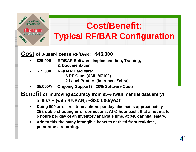

### **Cost/Benefit: Typical RF/BAR Configuration**

#### **Cost of 8-user-license RF/BAR: ~\$45,000**

- • **\$25,000 RF/BAR Software, Implementation, Training, & Documentation**
- • **\$15,000 RF/BAR Hardware:**
	- **– 6 RF Guns (AML M7100)**
	- **– 2 Label Printers (Intermec, Zebra)**
- •**\$5,000/Yr Ongoing Support (= 20% Software Cost)**
- **Benefit of improving accuracy from 95% (with manual data entry) to 99.7% (with RF/BAR): ~\$30,000/year**
	- $\bullet$  **Doing 500 error-free transactions per day eliminates approximately 25 trouble-shooting error corrections. At ¼ hour each, that amounts to 6 hours per day of an inventory analyst's time, at \$40k annual salary.**
	- • **Add to this the many intangible benefits derived from real-time, point-of-use reporting.**

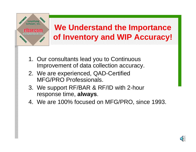

#### **We Understand the Importance of Inventory and WIP Accuracy!**

- 1. Our consultants lead you to Continuous Improvement of data collection accuracy.
- 2. We are experienced, QAD-Certified MFG/PRO Professionals.
- 3. We support RF/BAR & RF/ID with 2-hour response time, **always**.
- 4. We are 100% focused on MFG/PRO, since 1993.